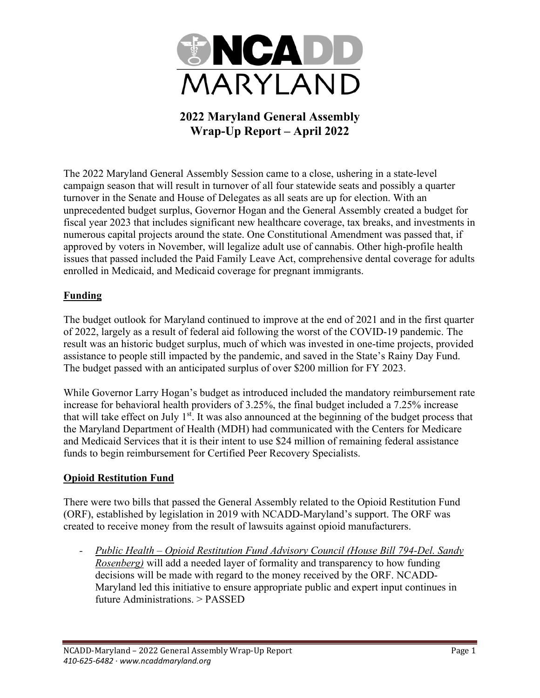

# **2022 Maryland General Assembly Wrap-Up Report – April 2022**

The 2022 Maryland General Assembly Session came to a close, ushering in a state-level campaign season that will result in turnover of all four statewide seats and possibly a quarter turnover in the Senate and House of Delegates as all seats are up for election. With an unprecedented budget surplus, Governor Hogan and the General Assembly created a budget for fiscal year 2023 that includes significant new healthcare coverage, tax breaks, and investments in numerous capital projects around the state. One Constitutional Amendment was passed that, if approved by voters in November, will legalize adult use of cannabis. Other high-profile health issues that passed included the Paid Family Leave Act, comprehensive dental coverage for adults enrolled in Medicaid, and Medicaid coverage for pregnant immigrants.

## **Funding**

The budget outlook for Maryland continued to improve at the end of 2021 and in the first quarter of 2022, largely as a result of federal aid following the worst of the COVID-19 pandemic. The result was an historic budget surplus, much of which was invested in one-time projects, provided assistance to people still impacted by the pandemic, and saved in the State's Rainy Day Fund. The budget passed with an anticipated surplus of over \$200 million for FY 2023.

While Governor Larry Hogan's budget as introduced included the mandatory reimbursement rate increase for behavioral health providers of 3.25%, the final budget included a 7.25% increase that will take effect on July  $1<sup>st</sup>$ . It was also announced at the beginning of the budget process that the Maryland Department of Health (MDH) had communicated with the Centers for Medicare and Medicaid Services that it is their intent to use \$24 million of remaining federal assistance funds to begin reimbursement for Certified Peer Recovery Specialists.

#### **Opioid Restitution Fund**

There were two bills that passed the General Assembly related to the Opioid Restitution Fund (ORF), established by legislation in 2019 with NCADD-Maryland's support. The ORF was created to receive money from the result of lawsuits against opioid manufacturers.

*- Public Health – Opioid Restitution Fund Advisory Council (House Bill 794-Del. Sandy Rosenberg)* will add a needed layer of formality and transparency to how funding decisions will be made with regard to the money received by the ORF. NCADD-Maryland led this initiative to ensure appropriate public and expert input continues in future Administrations. > PASSED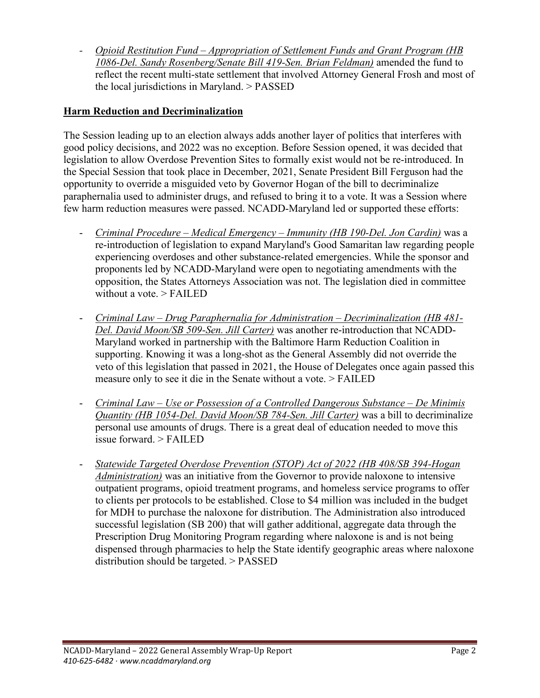*- Opioid Restitution Fund – Appropriation of Settlement Funds and Grant Program (HB 1086-Del. Sandy Rosenberg/Senate Bill 419-Sen. Brian Feldman)* amended the fund to reflect the recent multi-state settlement that involved Attorney General Frosh and most of the local jurisdictions in Maryland. > PASSED

#### **Harm Reduction and Decriminalization**

The Session leading up to an election always adds another layer of politics that interferes with good policy decisions, and 2022 was no exception. Before Session opened, it was decided that legislation to allow Overdose Prevention Sites to formally exist would not be re-introduced. In the Special Session that took place in December, 2021, Senate President Bill Ferguson had the opportunity to override a misguided veto by Governor Hogan of the bill to decriminalize paraphernalia used to administer drugs, and refused to bring it to a vote. It was a Session where few harm reduction measures were passed. NCADD-Maryland led or supported these efforts:

- *Criminal Procedure – Medical Emergency – Immunity (HB 190-Del. Jon Cardin)* was a re-introduction of legislation to expand Maryland's Good Samaritan law regarding people experiencing overdoses and other substance-related emergencies. While the sponsor and proponents led by NCADD-Maryland were open to negotiating amendments with the opposition, the States Attorneys Association was not. The legislation died in committee without a vote. > FAILED
- *Criminal Law – Drug Paraphernalia for Administration – Decriminalization (HB 481- Del. David Moon/SB 509-Sen. Jill Carter)* was another re-introduction that NCADD-Maryland worked in partnership with the Baltimore Harm Reduction Coalition in supporting. Knowing it was a long-shot as the General Assembly did not override the veto of this legislation that passed in 2021, the House of Delegates once again passed this measure only to see it die in the Senate without a vote. > FAILED
- *Criminal Law – Use or Possession of a Controlled Dangerous Substance – De Minimis Quantity (HB 1054-Del. David Moon/SB 784-Sen. Jill Carter)* was a bill to decriminalize personal use amounts of drugs. There is a great deal of education needed to move this issue forward. > FAILED
- *Statewide Targeted Overdose Prevention (STOP) Act of 2022 (HB 408/SB 394-Hogan Administration)* was an initiative from the Governor to provide naloxone to intensive outpatient programs, opioid treatment programs, and homeless service programs to offer to clients per protocols to be established. Close to \$4 million was included in the budget for MDH to purchase the naloxone for distribution. The Administration also introduced successful legislation (SB 200) that will gather additional, aggregate data through the Prescription Drug Monitoring Program regarding where naloxone is and is not being dispensed through pharmacies to help the State identify geographic areas where naloxone distribution should be targeted. > PASSED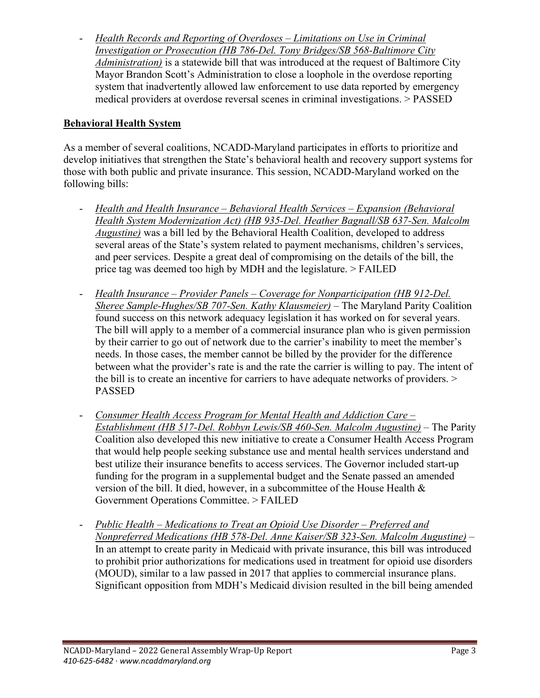- *Health Records and Reporting of Overdoses – Limitations on Use in Criminal Investigation or Prosecution (HB 786-Del. Tony Bridges/SB 568-Baltimore City Administration)* is a statewide bill that was introduced at the request of Baltimore City Mayor Brandon Scott's Administration to close a loophole in the overdose reporting system that inadvertently allowed law enforcement to use data reported by emergency medical providers at overdose reversal scenes in criminal investigations. > PASSED

### **Behavioral Health System**

As a member of several coalitions, NCADD-Maryland participates in efforts to prioritize and develop initiatives that strengthen the State's behavioral health and recovery support systems for those with both public and private insurance. This session, NCADD-Maryland worked on the following bills:

- *Health and Health Insurance – Behavioral Health Services – Expansion (Behavioral Health System Modernization Act) (HB 935-Del. Heather Bagnall/SB 637-Sen. Malcolm Augustine)* was a bill led by the Behavioral Health Coalition, developed to address several areas of the State's system related to payment mechanisms, children's services, and peer services. Despite a great deal of compromising on the details of the bill, the price tag was deemed too high by MDH and the legislature. > FAILED
- *Health Insurance – Provider Panels – Coverage for Nonparticipation (HB 912-Del. Sheree Sample-Hughes/SB 707-Sen. Kathy Klausmeier)* – The Maryland Parity Coalition found success on this network adequacy legislation it has worked on for several years. The bill will apply to a member of a commercial insurance plan who is given permission by their carrier to go out of network due to the carrier's inability to meet the member's needs. In those cases, the member cannot be billed by the provider for the difference between what the provider's rate is and the rate the carrier is willing to pay. The intent of the bill is to create an incentive for carriers to have adequate networks of providers. > PASSED
- *Consumer Health Access Program for Mental Health and Addiction Care – Establishment (HB 517-Del. Robbyn Lewis/SB 460-Sen. Malcolm Augustine)* – The Parity Coalition also developed this new initiative to create a Consumer Health Access Program that would help people seeking substance use and mental health services understand and best utilize their insurance benefits to access services. The Governor included start-up funding for the program in a supplemental budget and the Senate passed an amended version of the bill. It died, however, in a subcommittee of the House Health & Government Operations Committee. > FAILED
- *Public Health – Medications to Treat an Opioid Use Disorder – Preferred and Nonpreferred Medications (HB 578-Del. Anne Kaiser/SB 323-Sen. Malcolm Augustine)* – In an attempt to create parity in Medicaid with private insurance, this bill was introduced to prohibit prior authorizations for medications used in treatment for opioid use disorders (MOUD), similar to a law passed in 2017 that applies to commercial insurance plans. Significant opposition from MDH's Medicaid division resulted in the bill being amended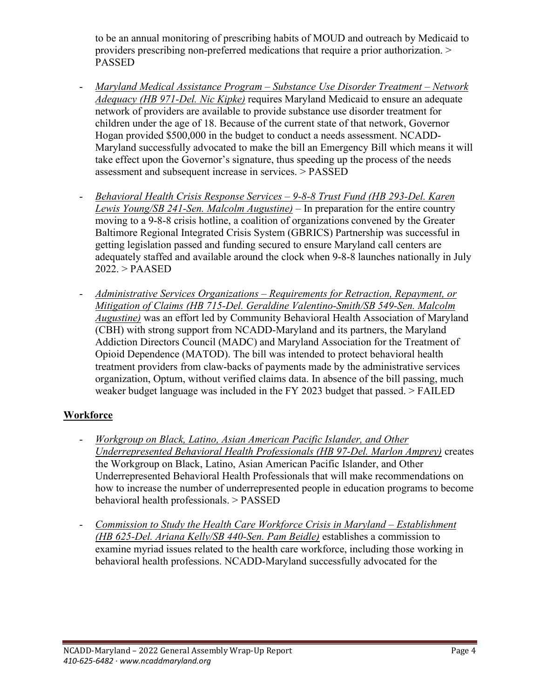to be an annual monitoring of prescribing habits of MOUD and outreach by Medicaid to providers prescribing non-preferred medications that require a prior authorization. > PASSED

- *Maryland Medical Assistance Program – Substance Use Disorder Treatment – Network Adequacy (HB 971-Del. Nic Kipke)* requires Maryland Medicaid to ensure an adequate network of providers are available to provide substance use disorder treatment for children under the age of 18. Because of the current state of that network, Governor Hogan provided \$500,000 in the budget to conduct a needs assessment. NCADD-Maryland successfully advocated to make the bill an Emergency Bill which means it will take effect upon the Governor's signature, thus speeding up the process of the needs assessment and subsequent increase in services. > PASSED
- *Behavioral Health Crisis Response Services – 9-8-8 Trust Fund (HB 293-Del. Karen Lewis Young/SB 241-Sen. Malcolm Augustine)* – In preparation for the entire country moving to a 9-8-8 crisis hotline, a coalition of organizations convened by the Greater Baltimore Regional Integrated Crisis System (GBRICS) Partnership was successful in getting legislation passed and funding secured to ensure Maryland call centers are adequately staffed and available around the clock when 9-8-8 launches nationally in July 2022. > PAASED
- *Administrative Services Organizations – Requirements for Retraction, Repayment, or Mitigation of Claims (HB 715-Del. Geraldine Valentino-Smith/SB 549-Sen. Malcolm Augustine)* was an effort led by Community Behavioral Health Association of Maryland (CBH) with strong support from NCADD-Maryland and its partners, the Maryland Addiction Directors Council (MADC) and Maryland Association for the Treatment of Opioid Dependence (MATOD). The bill was intended to protect behavioral health treatment providers from claw-backs of payments made by the administrative services organization, Optum, without verified claims data. In absence of the bill passing, much weaker budget language was included in the FY 2023 budget that passed. > FAILED

#### **Workforce**

- *Workgroup on Black, Latino, Asian American Pacific Islander, and Other Underrepresented Behavioral Health Professionals (HB 97-Del. Marlon Amprey)* creates the Workgroup on Black, Latino, Asian American Pacific Islander, and Other Underrepresented Behavioral Health Professionals that will make recommendations on how to increase the number of underrepresented people in education programs to become behavioral health professionals. > PASSED
- *Commission to Study the Health Care Workforce Crisis in Maryland – Establishment (HB 625-Del. Ariana Kelly/SB 440-Sen. Pam Beidle)* establishes a commission to examine myriad issues related to the health care workforce, including those working in behavioral health professions. NCADD-Maryland successfully advocated for the